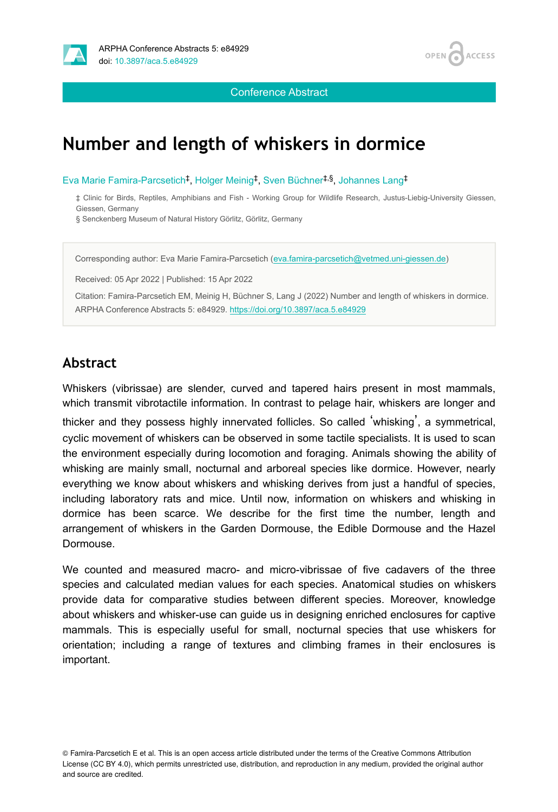

Conference Abstract

# **Number and length of whiskers in dormice**

Eva Marie Famira-Parcsetich<sup>‡</sup>, Holger Meinig<sup>‡</sup>, Sven Büchner<sup>‡,§</sup>, Johannes Lang<sup>‡</sup>

‡ Clinic for Birds, Reptiles, Amphibians and Fish - Working Group for Wildlife Research, Justus-Liebig-University Giessen, Giessen, Germany

§ Senckenberg Museum of Natural History Görlitz, Görlitz, Germany

Corresponding author: Eva Marie Famira-Parcsetich ([eva.famira-parcsetich@vetmed.uni-giessen.de\)](mailto:eva.famira-parcsetich@vetmed.uni-giessen.de)

Received: 05 Apr 2022 | Published: 15 Apr 2022

Citation: Famira-Parcsetich EM, Meinig H, Büchner S, Lang J (2022) Number and length of whiskers in dormice. ARPHA Conference Abstracts 5: e84929. <https://doi.org/10.3897/aca.5.e84929>

#### **Abstract**

Whiskers (vibrissae) are slender, curved and tapered hairs present in most mammals, which transmit vibrotactile information. In contrast to pelage hair, whiskers are longer and thicker and they possess highly innervated follicles. So called 'whisking', a symmetrical, cyclic movement of whiskers can be observed in some tactile specialists. It is used to scan the environment especially during locomotion and foraging. Animals showing the ability of whisking are mainly small, nocturnal and arboreal species like dormice. However, nearly everything we know about whiskers and whisking derives from just a handful of species, including laboratory rats and mice. Until now, information on whiskers and whisking in dormice has been scarce. We describe for the first time the number, length and arrangement of whiskers in the Garden Dormouse, the Edible Dormouse and the Hazel Dormouse.

We counted and measured macro- and micro-vibrissae of five cadavers of the three species and calculated median values for each species. Anatomical studies on whiskers provide data for comparative studies between different species. Moreover, knowledge about whiskers and whisker-use can guide us in designing enriched enclosures for captive mammals. This is especially useful for small, nocturnal species that use whiskers for orientation; including a range of textures and climbing frames in their enclosures is important.